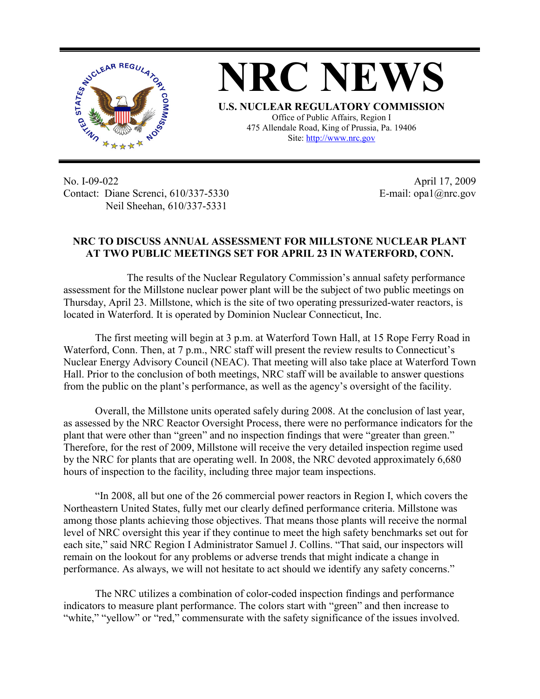

**NRC NEWS U.S. NUCLEAR REGULATORY COMMISSION** Office of Public Affairs, Region I 475 Allendale Road, King of Prussia, Pa. 19406 Site: http://www.nrc.gov

No. I-09-022 Contact: Diane Screnci, 610/337-5330 Neil Sheehan, 610/337-5331

April 17, 2009 E-mail: opa1@nrc.gov

## **NRC TO DISCUSS ANNUAL ASSESSMENT FOR MILLSTONE NUCLEAR PLANT AT TWO PUBLIC MEETINGS SET FOR APRIL 23 IN WATERFORD, CONN.**

 The results of the Nuclear Regulatory Commission's annual safety performance assessment for the Millstone nuclear power plant will be the subject of two public meetings on Thursday, April 23. Millstone, which is the site of two operating pressurized-water reactors, is located in Waterford. It is operated by Dominion Nuclear Connecticut, Inc.

The first meeting will begin at 3 p.m. at Waterford Town Hall, at 15 Rope Ferry Road in Waterford, Conn. Then, at 7 p.m., NRC staff will present the review results to Connecticut's Nuclear Energy Advisory Council (NEAC). That meeting will also take place at Waterford Town Hall. Prior to the conclusion of both meetings, NRC staff will be available to answer questions from the public on the plant's performance, as well as the agency's oversight of the facility.

Overall, the Millstone units operated safely during 2008. At the conclusion of last year, as assessed by the NRC Reactor Oversight Process, there were no performance indicators for the plant that were other than "green" and no inspection findings that were "greater than green." Therefore, for the rest of 2009, Millstone will receive the very detailed inspection regime used by the NRC for plants that are operating well. In 2008, the NRC devoted approximately 6,680 hours of inspection to the facility, including three major team inspections.

"In 2008, all but one of the 26 commercial power reactors in Region I, which covers the Northeastern United States, fully met our clearly defined performance criteria. Millstone was among those plants achieving those objectives. That means those plants will receive the normal level of NRC oversight this year if they continue to meet the high safety benchmarks set out for each site," said NRC Region I Administrator Samuel J. Collins. "That said, our inspectors will remain on the lookout for any problems or adverse trends that might indicate a change in performance. As always, we will not hesitate to act should we identify any safety concerns."

The NRC utilizes a combination of color-coded inspection findings and performance indicators to measure plant performance. The colors start with "green" and then increase to "white," "yellow" or "red," commensurate with the safety significance of the issues involved.